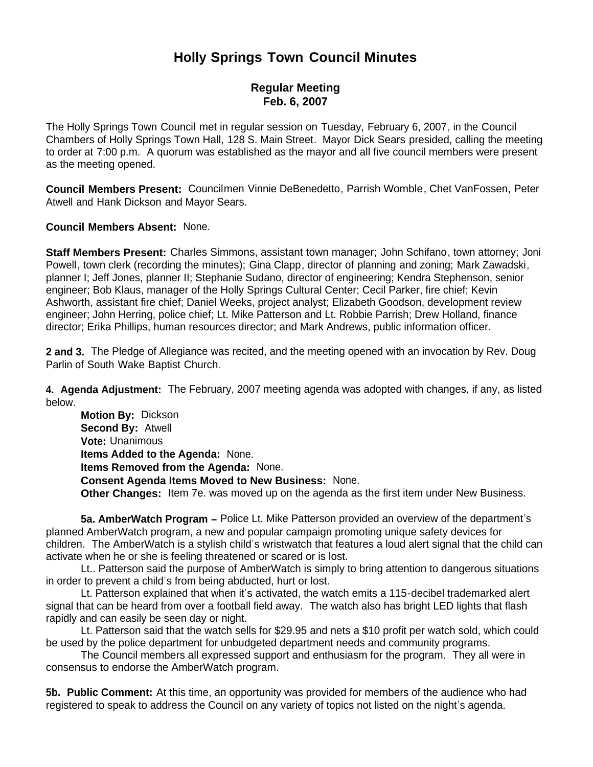## **Holly Springs Town Council Minutes**

## **Regular Meeting Feb. 6, 2007**

The Holly Springs Town Council met in regular session on Tuesday, February 6, 2007, in the Council Chambers of Holly Springs Town Hall, 128 S. Main Street. Mayor Dick Sears presided, calling the meeting to order at 7:00 p.m. A quorum was established as the mayor and all five council members were present as the meeting opened.

**Council Members Present:** Councilmen Vinnie DeBenedetto, Parrish Womble, Chet VanFossen, Peter Atwell and Hank Dickson and Mayor Sears.

**Council Members Absent:** None.

**Staff Members Present:** Charles Simmons, assistant town manager; John Schifano, town attorney; Joni Powell, town clerk (recording the minutes); Gina Clapp, director of planning and zoning; Mark Zawadski, planner I; Jeff Jones, planner II; Stephanie Sudano, director of engineering; Kendra Stephenson, senior engineer; Bob Klaus, manager of the Holly Springs Cultural Center; Cecil Parker, fire chief; Kevin Ashworth, assistant fire chief; Daniel Weeks, project analyst; Elizabeth Goodson, development review engineer; John Herring, police chief; Lt. Mike Patterson and Lt. Robbie Parrish; Drew Holland, finance director; Erika Phillips, human resources director; and Mark Andrews, public information officer.

**2 and 3.** The Pledge of Allegiance was recited, and the meeting opened with an invocation by Rev. Doug Parlin of South Wake Baptist Church.

**4. Agenda Adjustment:** The February, 2007 meeting agenda was adopted with changes, if any, as listed below.

 **Motion By:** Dickson **Second By:** Atwell **Vote:** Unanimous **Items Added to the Agenda:** None. **Items Removed from the Agenda:** None. **Consent Agenda Items Moved to New Business:** None. **Other Changes:** Item 7e. was moved up on the agenda as the first item under New Business.

**5a. AmberWatch Program –** Police Lt. Mike Patterson provided an overview of the department's planned AmberWatch program, a new and popular campaign promoting unique safety devices for children. The AmberWatch is a stylish child's wristwatch that features a loud alert signal that the child can activate when he or she is feeling threatened or scared or is lost.

Lt.. Patterson said the purpose of AmberWatch is simply to bring attention to dangerous situations in order to prevent a child's from being abducted, hurt or lost.

Lt. Patterson explained that when it's activated, the watch emits a 115-decibel trademarked alert signal that can be heard from over a football field away. The watch also has bright LED lights that flash rapidly and can easily be seen day or night.

Lt. Patterson said that the watch sells for \$29.95 and nets a \$10 profit per watch sold, which could be used by the police department for unbudgeted department needs and community programs.

The Council members all expressed support and enthusiasm for the program. They all were in consensus to endorse the AmberWatch program.

**5b. Public Comment:** At this time, an opportunity was provided for members of the audience who had registered to speak to address the Council on any variety of topics not listed on the night's agenda.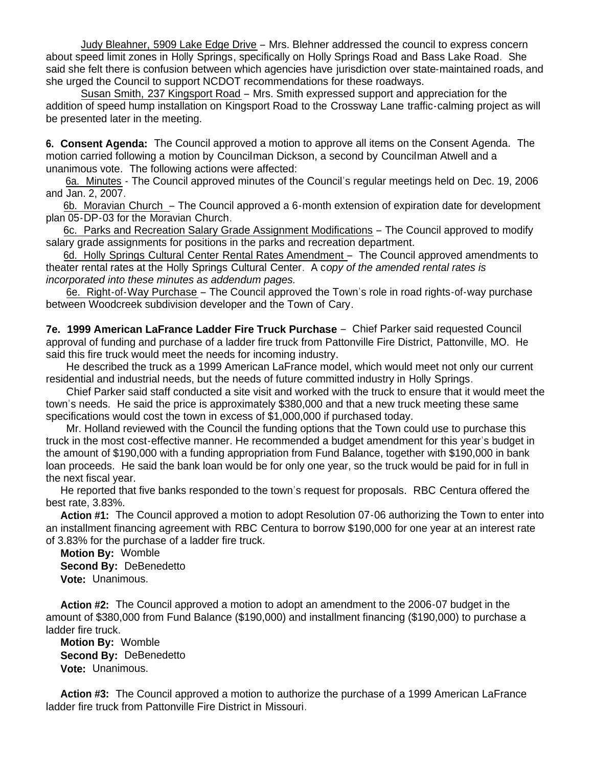Judy Bleahner, 5909 Lake Edge Drive – Mrs. Blehner addressed the council to express concern about speed limit zones in Holly Springs, specifically on Holly Springs Road and Bass Lake Road. She said she felt there is confusion between which agencies have jurisdiction over state-maintained roads, and she urged the Council to support NCDOT recommendations for these roadways.

 Susan Smith, 237 Kingsport Road – Mrs. Smith expressed support and appreciation for the addition of speed hump installation on Kingsport Road to the Crossway Lane traffic-calming project as will be presented later in the meeting.

**6. Consent Agenda:** The Council approved a motion to approve all items on the Consent Agenda. The motion carried following a motion by Councilman Dickson, a second by Councilman Atwell and a unanimous vote. The following actions were affected:

6a. Minutes - The Council approved minutes of the Council's regular meetings held on Dec. 19, 2006 and Jan. 2, 2007.

 6b. Moravian Church – The Council approved a 6-month extension of expiration date for development plan 05-DP-03 for the Moravian Church.

 6c. Parks and Recreation Salary Grade Assignment Modifications – The Council approved to modify salary grade assignments for positions in the parks and recreation department.

6d. Holly Springs Cultural Center Rental Rates Amendment – The Council approved amendments to theater rental rates at the Holly Springs Cultural Center. A c*opy of the amended rental rates is incorporated into these minutes as addendum pages.*

 6e. Right-of-Way Purchase – The Council approved the Town's role in road rights-of-way purchase between Woodcreek subdivision developer and the Town of Cary.

**7e. 1999 American LaFrance Ladder Fire Truck Purchase** – Chief Parker said requested Council approval of funding and purchase of a ladder fire truck from Pattonville Fire District, Pattonville, MO. He said this fire truck would meet the needs for incoming industry.

 He described the truck as a 1999 American LaFrance model, which would meet not only our current residential and industrial needs, but the needs of future committed industry in Holly Springs.

 Chief Parker said staff conducted a site visit and worked with the truck to ensure that it would meet the town's needs. He said the price is approximately \$380,000 and that a new truck meeting these same specifications would cost the town in excess of \$1,000,000 if purchased today.

 Mr. Holland reviewed with the Council the funding options that the Town could use to purchase this truck in the most cost-effective manner. He recommended a budget amendment for this year's budget in the amount of \$190,000 with a funding appropriation from Fund Balance, together with \$190,000 in bank loan proceeds. He said the bank loan would be for only one year, so the truck would be paid for in full in the next fiscal year.

 He reported that five banks responded to the town's request for proposals. RBC Centura offered the best rate, 3.83%.

 **Action #1:** The Council approved a motion to adopt Resolution 07-06 authorizing the Town to enter into an installment financing agreement with RBC Centura to borrow \$190,000 for one year at an interest rate of 3.83% for the purchase of a ladder fire truck.

 **Motion By:** Womble **Second By:** DeBenedetto **Vote:** Unanimous.

 **Action #2:** The Council approved a motion to adopt an amendment to the 2006-07 budget in the amount of \$380,000 from Fund Balance (\$190,000) and installment financing (\$190,000) to purchase a ladder fire truck.

 **Motion By:** Womble **Second By:** DeBenedetto **Vote:** Unanimous.

 **Action #3:** The Council approved a motion to authorize the purchase of a 1999 American LaFrance ladder fire truck from Pattonville Fire District in Missouri.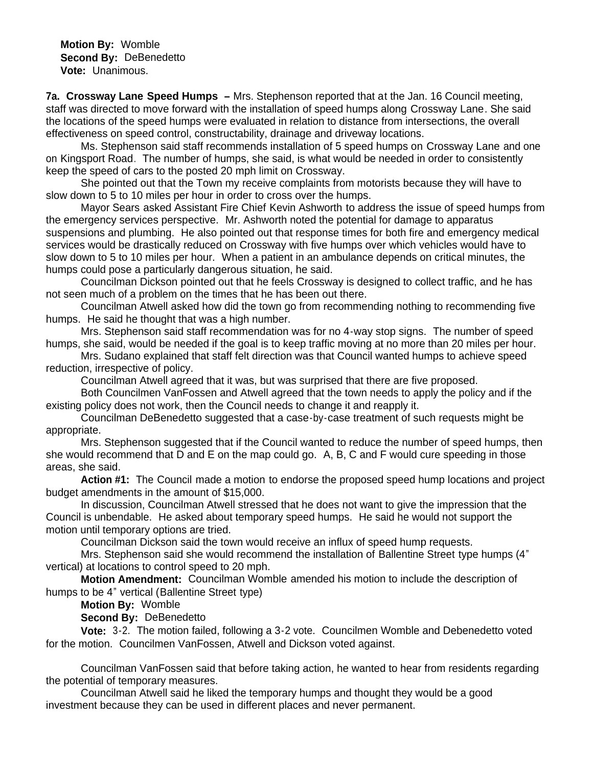**Motion By:** Womble **Second By:** DeBenedetto **Vote:** Unanimous.

**7a. Crossway Lane Speed Humps –** Mrs. Stephenson reported that at the Jan. 16 Council meeting, staff was directed to move forward with the installation of speed humps along Crossway Lane. She said the locations of the speed humps were evaluated in relation to distance from intersections, the overall effectiveness on speed control, constructability, drainage and driveway locations.

 Ms. Stephenson said staff recommends installation of 5 speed humps on Crossway Lane and one on Kingsport Road. The number of humps, she said, is what would be needed in order to consistently keep the speed of cars to the posted 20 mph limit on Crossway.

 She pointed out that the Town my receive complaints from motorists because they will have to slow down to 5 to 10 miles per hour in order to cross over the humps.

Mayor Sears asked Assistant Fire Chief Kevin Ashworth to address the issue of speed humps from the emergency services perspective. Mr. Ashworth noted the potential for damage to apparatus suspensions and plumbing. He also pointed out that response times for both fire and emergency medical services would be drastically reduced on Crossway with five humps over which vehicles would have to slow down to 5 to 10 miles per hour. When a patient in an ambulance depends on critical minutes, the humps could pose a particularly dangerous situation, he said.

Councilman Dickson pointed out that he feels Crossway is designed to collect traffic, and he has not seen much of a problem on the times that he has been out there.

Councilman Atwell asked how did the town go from recommending nothing to recommending five humps. He said he thought that was a high number.

Mrs. Stephenson said staff recommendation was for no 4-way stop signs. The number of speed humps, she said, would be needed if the goal is to keep traffic moving at no more than 20 miles per hour.

Mrs. Sudano explained that staff felt direction was that Council wanted humps to achieve speed reduction, irrespective of policy.

Councilman Atwell agreed that it was, but was surprised that there are five proposed.

Both Councilmen VanFossen and Atwell agreed that the town needs to apply the policy and if the existing policy does not work, then the Council needs to change it and reapply it.

Councilman DeBenedetto suggested that a case-by-case treatment of such requests might be appropriate.

Mrs. Stephenson suggested that if the Council wanted to reduce the number of speed humps, then she would recommend that D and E on the map could go. A, B, C and F would cure speeding in those areas, she said.

 **Action #1:** The Council made a motion to endorse the proposed speed hump locations and project budget amendments in the amount of \$15,000.

 In discussion, Councilman Atwell stressed that he does not want to give the impression that the Council is unbendable. He asked about temporary speed humps. He said he would not support the motion until temporary options are tried.

Councilman Dickson said the town would receive an influx of speed hump requests.

 Mrs. Stephenson said she would recommend the installation of Ballentine Street type humps (4" vertical) at locations to control speed to 20 mph.

 **Motion Amendment:** Councilman Womble amended his motion to include the description of humps to be 4" vertical (Ballentine Street type)

**Motion By:** Womble

**Second By:** DeBenedetto

 **Vote:** 3-2. The motion failed, following a 3-2 vote. Councilmen Womble and Debenedetto voted for the motion. Councilmen VanFossen, Atwell and Dickson voted against.

 Councilman VanFossen said that before taking action, he wanted to hear from residents regarding the potential of temporary measures.

 Councilman Atwell said he liked the temporary humps and thought they would be a good investment because they can be used in different places and never permanent.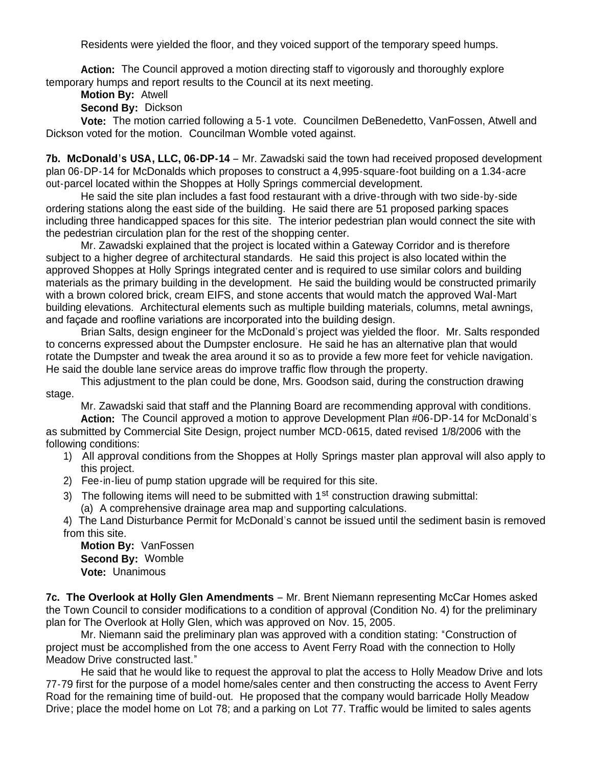Residents were yielded the floor, and they voiced support of the temporary speed humps.

 **Action:** The Council approved a motion directing staff to vigorously and thoroughly explore temporary humps and report results to the Council at its next meeting.

**Motion By:** Atwell

**Second By:** Dickson

 **Vote:** The motion carried following a 5-1 vote. Councilmen DeBenedetto, VanFossen, Atwell and Dickson voted for the motion. Councilman Womble voted against.

**7b. McDonald's USA, LLC, 06-DP-14** – Mr. Zawadski said the town had received proposed development plan 06-DP-14 for McDonalds which proposes to construct a 4,995-square-foot building on a 1.34-acre out-parcel located within the Shoppes at Holly Springs commercial development.

 He said the site plan includes a fast food restaurant with a drive-through with two side-by-side ordering stations along the east side of the building. He said there are 51 proposed parking spaces including three handicapped spaces for this site. The interior pedestrian plan would connect the site with the pedestrian circulation plan for the rest of the shopping center.

 Mr. Zawadski explained that the project is located within a Gateway Corridor and is therefore subject to a higher degree of architectural standards. He said this project is also located within the approved Shoppes at Holly Springs integrated center and is required to use similar colors and building materials as the primary building in the development. He said the building would be constructed primarily with a brown colored brick, cream EIFS, and stone accents that would match the approved Wal-Mart building elevations. Architectural elements such as multiple building materials, columns, metal awnings, and façade and roofline variations are incorporated into the building design.

 Brian Salts, design engineer for the McDonald's project was yielded the floor. Mr. Salts responded to concerns expressed about the Dumpster enclosure. He said he has an alternative plan that would rotate the Dumpster and tweak the area around it so as to provide a few more feet for vehicle navigation. He said the double lane service areas do improve traffic flow through the property.

 This adjustment to the plan could be done, Mrs. Goodson said, during the construction drawing stage.

Mr. Zawadski said that staff and the Planning Board are recommending approval with conditions.

**Action:** The Council approved a motion to approve Development Plan #06-DP-14 for McDonald's as submitted by Commercial Site Design, project number MCD-0615, dated revised 1/8/2006 with the following conditions:

- 1) All approval conditions from the Shoppes at Holly Springs master plan approval will also apply to this project.
- 2) Fee-in-lieu of pump station upgrade will be required for this site.
- 3) The following items will need to be submitted with  $1<sup>st</sup>$  construction drawing submittal: (a) A comprehensive drainage area map and supporting calculations.

4) The Land Disturbance Permit for McDonald's cannot be issued until the sediment basin is removed from this site.

**Motion By:** VanFossen **Second By:** Womble **Vote:** Unanimous

**7c. The Overlook at Holly Glen Amendments** – Mr. Brent Niemann representing McCar Homes asked the Town Council to consider modifications to a condition of approval (Condition No. 4) for the preliminary plan for The Overlook at Holly Glen, which was approved on Nov. 15, 2005.

Mr. Niemann said the preliminary plan was approved with a condition stating: "Construction of project must be accomplished from the one access to Avent Ferry Road with the connection to Holly Meadow Drive constructed last."

He said that he would like to request the approval to plat the access to Holly Meadow Drive and lots 77-79 first for the purpose of a model home/sales center and then constructing the access to Avent Ferry Road for the remaining time of build-out. He proposed that the company would barricade Holly Meadow Drive; place the model home on Lot 78; and a parking on Lot 77. Traffic would be limited to sales agents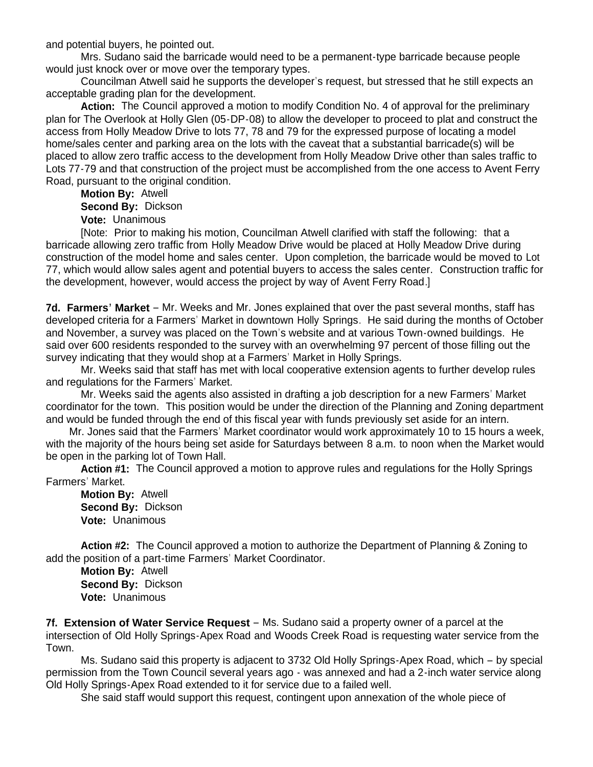and potential buyers, he pointed out.

 Mrs. Sudano said the barricade would need to be a permanent-type barricade because people would just knock over or move over the temporary types.

 Councilman Atwell said he supports the developer's request, but stressed that he still expects an acceptable grading plan for the development.

Action: The Council approved a motion to modify Condition No. 4 of approval for the preliminary plan for The Overlook at Holly Glen (05-DP-08) to allow the developer to proceed to plat and construct the access from Holly Meadow Drive to lots 77, 78 and 79 for the expressed purpose of locating a model home/sales center and parking area on the lots with the caveat that a substantial barricade(s) will be placed to allow zero traffic access to the development from Holly Meadow Drive other than sales traffic to Lots 77-79 and that construction of the project must be accomplished from the one access to Avent Ferry Road, pursuant to the original condition.

 **Motion By:** Atwell **Second By:** Dickson **Vote:** Unanimous

 [Note: Prior to making his motion, Councilman Atwell clarified with staff the following: that a barricade allowing zero traffic from Holly Meadow Drive would be placed at Holly Meadow Drive during construction of the model home and sales center. Upon completion, the barricade would be moved to Lot 77, which would allow sales agent and potential buyers to access the sales center. Construction traffic for the development, however, would access the project by way of Avent Ferry Road.]

**7d. Farmers' Market** – Mr. Weeks and Mr. Jones explained that over the past several months, staff has developed criteria for a Farmers' Market in downtown Holly Springs. He said during the months of October and November, a survey was placed on the Town's website and at various Town-owned buildings. He said over 600 residents responded to the survey with an overwhelming 97 percent of those filling out the survey indicating that they would shop at a Farmers' Market in Holly Springs.

 Mr. Weeks said that staff has met with local cooperative extension agents to further develop rules and regulations for the Farmers' Market.

 Mr. Weeks said the agents also assisted in drafting a job description for a new Farmers' Market coordinator for the town. This position would be under the direction of the Planning and Zoning department and would be funded through the end of this fiscal year with funds previously set aside for an intern.

 Mr. Jones said that the Farmers' Market coordinator would work approximately 10 to 15 hours a week, with the majority of the hours being set aside for Saturdays between 8 a.m. to noon when the Market would be open in the parking lot of Town Hall.

 **Action #1:** The Council approved a motion to approve rules and regulations for the Holly Springs Farmers' Market.

 **Motion By:** Atwell **Second By:** Dickson **Vote:** Unanimous

**Action #2:** The Council approved a motion to authorize the Department of Planning & Zoning to add the position of a part-time Farmers' Market Coordinator.

 **Motion By:** Atwell **Second By:** Dickson **Vote:** Unanimous

**7f. Extension of Water Service Request** – Ms. Sudano said a property owner of a parcel at the intersection of Old Holly Springs-Apex Road and Woods Creek Road is requesting water service from the Town.

 Ms. Sudano said this property is adjacent to 3732 Old Holly Springs-Apex Road, which – by special permission from the Town Council several years ago - was annexed and had a 2-inch water service along Old Holly Springs-Apex Road extended to it for service due to a failed well.

She said staff would support this request, contingent upon annexation of the whole piece of